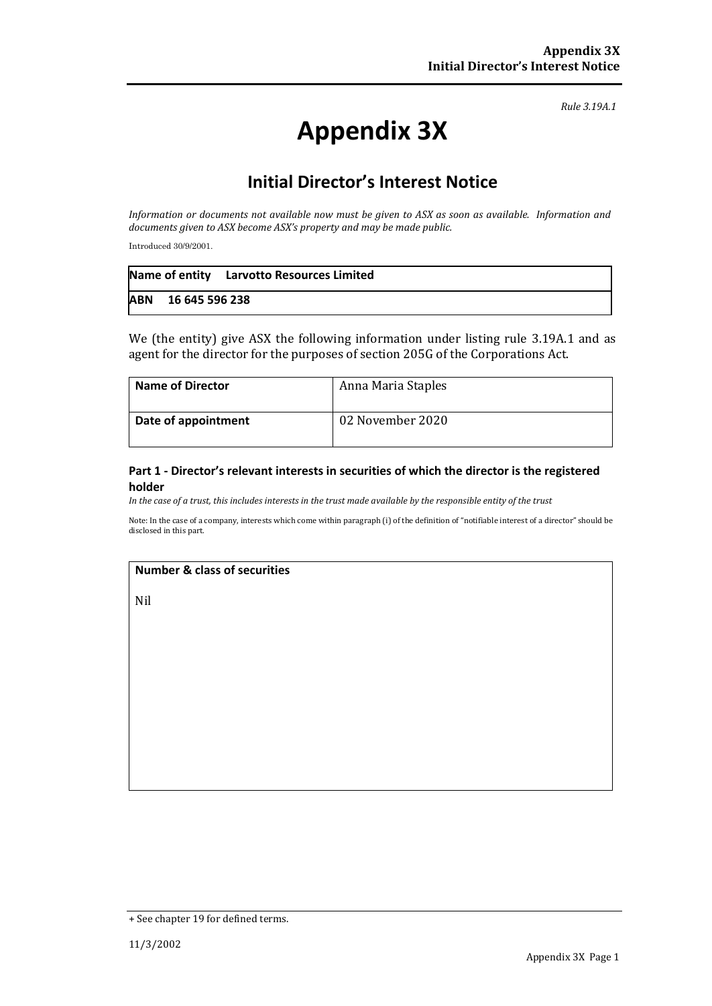*Rule 3.19A.1*

# **Appendix 3X**

### **Initial Director's Interest Notice**

*Information or documents not available now must be given to ASX as soon as available. Information and documents given to ASX become ASX's property and may be made public.*

Introduced 30/9/2001.

|                    | Name of entity Larvotto Resources Limited |
|--------------------|-------------------------------------------|
| ABN 16 645 596 238 |                                           |

We (the entity) give ASX the following information under listing rule 3.19A.1 and as agent for the director for the purposes of section 205G of the Corporations Act.

| <b>Name of Director</b> | Anna Maria Staples |
|-------------------------|--------------------|
| Date of appointment     | 02 November 2020   |

#### **Part 1 - Director's relevant interests in securities of which the director is the registered holder**

In the case of a trust, this includes interests in the trust made available by the responsible entity of the trust

Note: In the case of a company, interests which come within paragraph (i) of the definition of "notifiable interest of a director" should be disclosed in this part.

#### **Number & class of securities**

Nil

<sup>+</sup> See chapter 19 for defined terms.